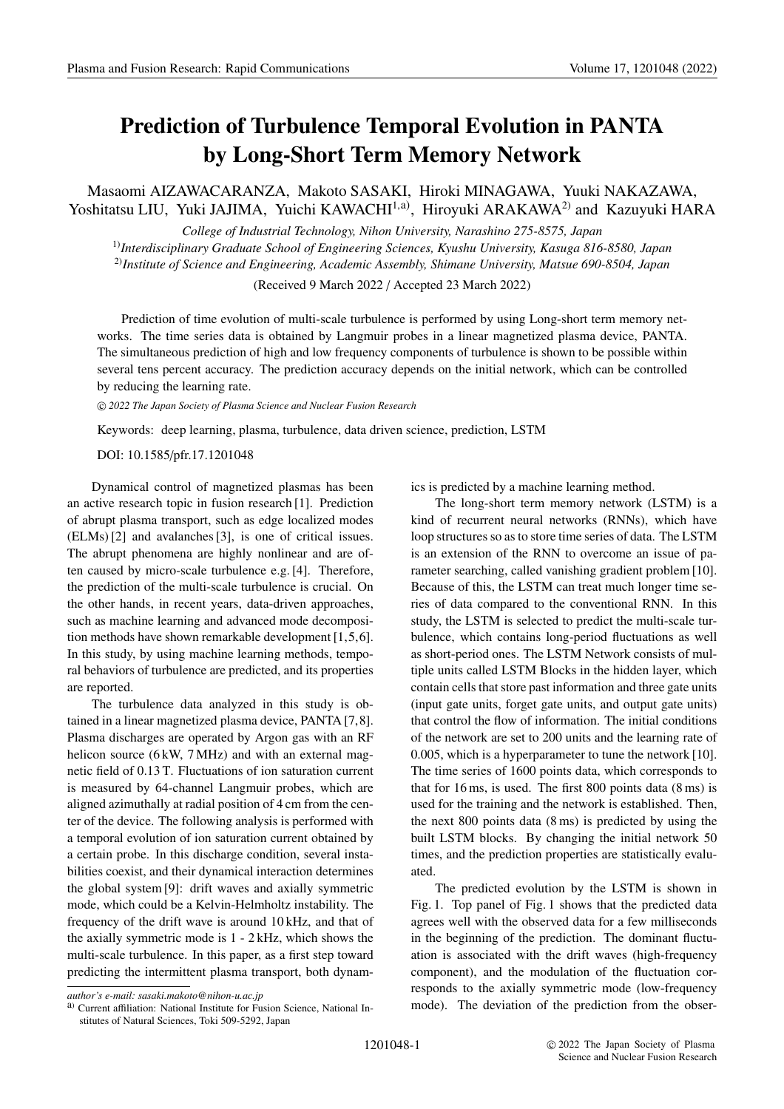## **Prediction of Turbulence Temporal Evolution in PANTA by Long-Short Term Memory Network**

Masaomi AIZAWACARANZA, Makoto SASAKI, Hiroki MINAGAWA, Yuuki NAKAZAWA, Yoshitatsu LIU, Yuki JAJIMA, Yuichi KAWACHI<sup>1,a)</sup>, Hiroyuki ARAKAWA<sup>2)</sup> and Kazuyuki HARA

*College of Industrial Technology, Nihon University, Narashino 275-8575, Japan* 1)*Interdisciplinary Graduate School of Engineering Sciences, Kyushu University, Kasuga 816-8580, Japan* 2)*Institute of Science and Engineering, Academic Assembly, Shimane University, Matsue 690-8504, Japan*

(Received 9 March 2022 / Accepted 23 March 2022)

Prediction of time evolution of multi-scale turbulence is performed by using Long-short term memory networks. The time series data is obtained by Langmuir probes in a linear magnetized plasma device, PANTA. The simultaneous prediction of high and low frequency components of turbulence is shown to be possible within several tens percent accuracy. The prediction accuracy depends on the initial network, which can be controlled by reducing the learning rate.

-c *2022 The Japan Society of Plasma Science and Nuclear Fusion Research*

Keywords: deep learning, plasma, turbulence, data driven science, prediction, LSTM

DOI: 10.1585/pfr.17.1201048

Dynamical control of magnetized plasmas has been an active research topic in fusion research [1]. Prediction of abrupt plasma transport, such as edge localized modes (ELMs) [2] and avalanches [3], is one of critical issues. The abrupt phenomena are highly nonlinear and are often caused by micro-scale turbulence e.g. [4]. Therefore, the prediction of the multi-scale turbulence is crucial. On the other hands, in recent years, data-driven approaches, such as machine learning and advanced mode decomposition methods have shown remarkable development [1,5,6]. In this study, by using machine learning methods, temporal behaviors of turbulence are predicted, and its properties are reported.

The turbulence data analyzed in this study is obtained in a linear magnetized plasma device, PANTA [7,8]. Plasma discharges are operated by Argon gas with an RF helicon source (6 kW, 7 MHz) and with an external magnetic field of 0.13 T. Fluctuations of ion saturation current is measured by 64-channel Langmuir probes, which are aligned azimuthally at radial position of 4 cm from the center of the device. The following analysis is performed with a temporal evolution of ion saturation current obtained by a certain probe. In this discharge condition, several instabilities coexist, and their dynamical interaction determines the global system [9]: drift waves and axially symmetric mode, which could be a Kelvin-Helmholtz instability. The frequency of the drift wave is around 10 kHz, and that of the axially symmetric mode is 1 - 2 kHz, which shows the multi-scale turbulence. In this paper, as a first step toward predicting the intermittent plasma transport, both dynamics is predicted by a machine learning method.

The long-short term memory network (LSTM) is a kind of recurrent neural networks (RNNs), which have loop structures so as to store time series of data. The LSTM is an extension of the RNN to overcome an issue of parameter searching, called vanishing gradient problem [10]. Because of this, the LSTM can treat much longer time series of data compared to the conventional RNN. In this study, the LSTM is selected to predict the multi-scale turbulence, which contains long-period fluctuations as well as short-period ones. The LSTM Network consists of multiple units called LSTM Blocks in the hidden layer, which contain cells that store past information and three gate units (input gate units, forget gate units, and output gate units) that control the flow of information. The initial conditions of the network are set to 200 units and the learning rate of 0.005, which is a hyperparameter to tune the network [10]. The time series of 1600 points data, which corresponds to that for 16 ms, is used. The first 800 points data (8 ms) is used for the training and the network is established. Then, the next 800 points data (8 ms) is predicted by using the built LSTM blocks. By changing the initial network 50 times, and the prediction properties are statistically evaluated.

The predicted evolution by the LSTM is shown in Fig. 1. Top panel of Fig. 1 shows that the predicted data agrees well with the observed data for a few milliseconds in the beginning of the prediction. The dominant fluctuation is associated with the drift waves (high-frequency component), and the modulation of the fluctuation corresponds to the axially symmetric mode (low-frequency mode). The deviation of the prediction from the obser-

*author's e-mail: sasaki.makoto@nihon-u.ac.jp*

a) Current affiliation: National Institute for Fusion Science, National Institutes of Natural Sciences, Toki 509-5292, Japan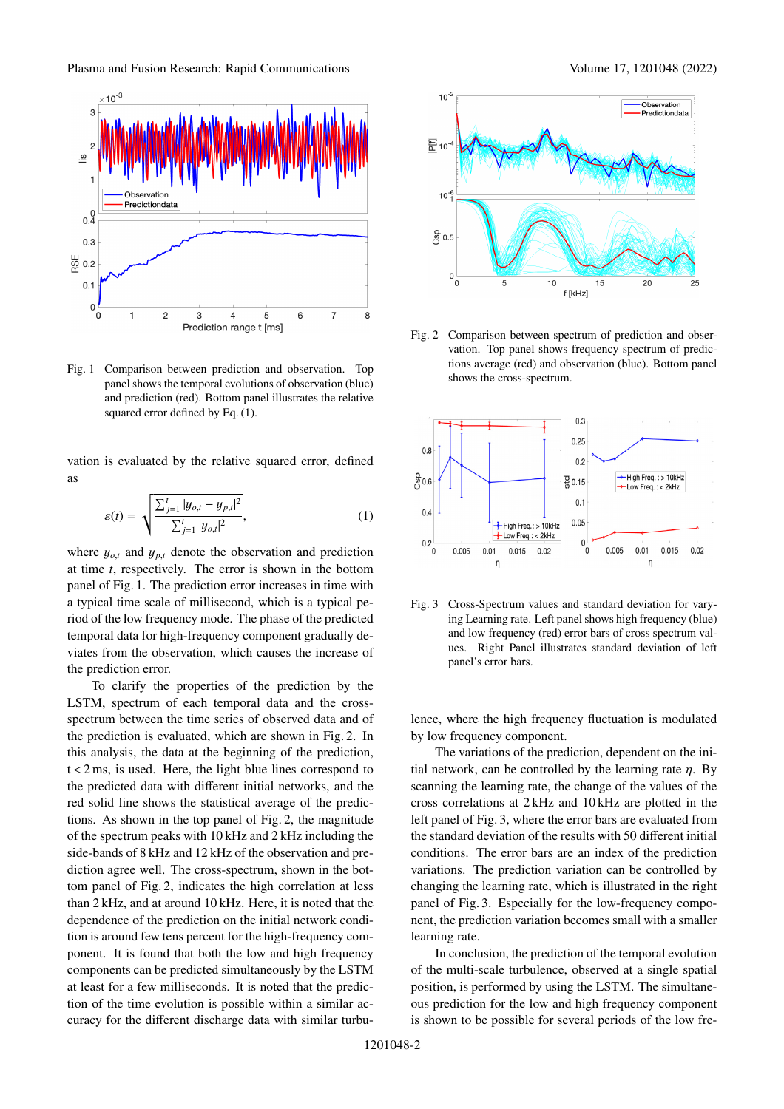

Fig. 1 Comparison between prediction and observation. Top panel shows the temporal evolutions of observation (blue) and prediction (red). Bottom panel illustrates the relative squared error defined by Eq. (1).

vation is evaluated by the relative squared error, defined as

$$
\varepsilon(t) = \sqrt{\frac{\sum_{j=1}^{t} |y_{o,t} - y_{p,t}|^2}{\sum_{j=1}^{t} |y_{o,t}|^2}},
$$
\n(1)

where  $y_{o,t}$  and  $y_{p,t}$  denote the observation and prediction at time *t*, respectively. The error is shown in the bottom panel of Fig. 1. The prediction error increases in time with a typical time scale of millisecond, which is a typical period of the low frequency mode. The phase of the predicted temporal data for high-frequency component gradually deviates from the observation, which causes the increase of the prediction error.

To clarify the properties of the prediction by the LSTM, spectrum of each temporal data and the crossspectrum between the time series of observed data and of the prediction is evaluated, which are shown in Fig. 2. In this analysis, the data at the beginning of the prediction,  $t < 2$  ms, is used. Here, the light blue lines correspond to the predicted data with different initial networks, and the red solid line shows the statistical average of the predictions. As shown in the top panel of Fig. 2, the magnitude of the spectrum peaks with 10 kHz and 2 kHz including the side-bands of 8 kHz and 12 kHz of the observation and prediction agree well. The cross-spectrum, shown in the bottom panel of Fig. 2, indicates the high correlation at less than 2 kHz, and at around 10 kHz. Here, it is noted that the dependence of the prediction on the initial network condition is around few tens percent for the high-frequency component. It is found that both the low and high frequency components can be predicted simultaneously by the LSTM at least for a few milliseconds. It is noted that the prediction of the time evolution is possible within a similar accuracy for the different discharge data with similar turbu-





Fig. 2 Comparison between spectrum of prediction and observation. Top panel shows frequency spectrum of predictions average (red) and observation (blue). Bottom panel shows the cross-spectrum.



Fig. 3 Cross-Spectrum values and standard deviation for varying Learning rate. Left panel shows high frequency (blue) and low frequency (red) error bars of cross spectrum values. Right Panel illustrates standard deviation of left panel's error bars.

lence, where the high frequency fluctuation is modulated by low frequency component.

The variations of the prediction, dependent on the initial network, can be controlled by the learning rate  $\eta$ . By scanning the learning rate, the change of the values of the cross correlations at 2 kHz and 10 kHz are plotted in the left panel of Fig. 3, where the error bars are evaluated from the standard deviation of the results with 50 different initial conditions. The error bars are an index of the prediction variations. The prediction variation can be controlled by changing the learning rate, which is illustrated in the right panel of Fig. 3. Especially for the low-frequency component, the prediction variation becomes small with a smaller learning rate.

In conclusion, the prediction of the temporal evolution of the multi-scale turbulence, observed at a single spatial position, is performed by using the LSTM. The simultaneous prediction for the low and high frequency component is shown to be possible for several periods of the low fre